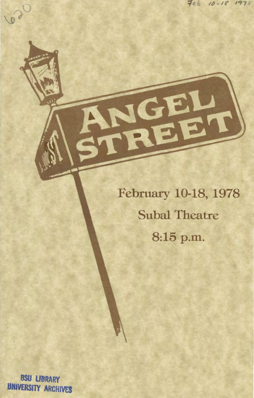February 10-18, 1978 **Subal Theatre** 8:15 p.m.

**BSU LIBRARY UNIVERSITY ARCHIVES** 

 $\Omega$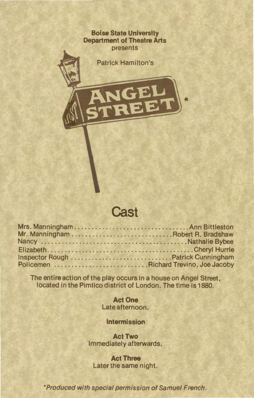**Boise State University Department of Theatre Arts**  presents

Patrick Hamilton's

#### **Cast**

The entire action of the play occurs in a house on Angel Street, located in the Pimlico district of London. The time is 1880.

> **Act One**  Late afternoon.

**Intermission** 

**Act Two**  Immediately afterwards.

**Act Three**  Later the same night.

\*Produced with special permission of Samuel French.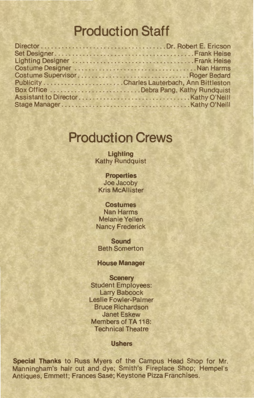# **Production Staff**

| Publicity Charles Lauterbach, Ann Bittleston |
|----------------------------------------------|
| Box Office Debra Pang, Kathy Rundquist       |
|                                              |
|                                              |
|                                              |

### **Production Crews**

**Lighting**  Kathy Rundquist

**Properties**  Joe Jacoby Kris McAllister

**Costumes**  Nan Harms Melanie Yellen Nancy Frederick

**Sound**  Beth Somerton

**House Manager** 

**Scenery**  Student Employees: Larry Babcock Leslie Fowler-Palmer Bruce Richardson Janet Eskew Members of TA 118: Technical Theatre

**Ushers** 

**Special Thanks** to Russ Myers of the Campus Head Shop for Mr. Manningham's hair cut and dye; Smith's Fireplace Shop; Hempel's Antiques, Emmett; Frances Sase; Keystone Pizza Franchises.